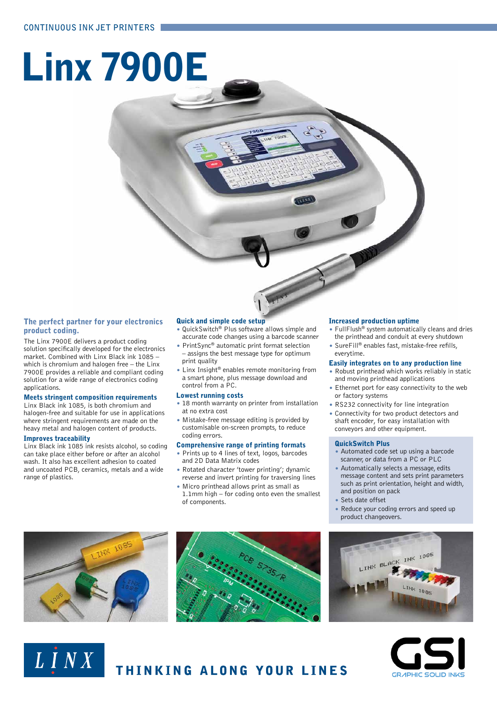# Linx 7900E

#### The perfect partner for your electronics product coding.

The Linx 7900E delivers a product coding solution specifically developed for the electronics market. Combined with Linx Black ink 1085 – which is chromium and halogen free – the Linx 7900E provides a reliable and compliant coding solution for a wide range of electronics coding applications.

#### Meets stringent composition requirements

Linx Black ink 1085, is both chromium and halogen-free and suitable for use in applications where stringent requirements are made on the heavy metal and halogen content of products.

#### Improves traceability

Linx Black ink 1085 ink resists alcohol, so coding can take place either before or after an alcohol wash. It also has excellent adhesion to coated and uncoated PCB, ceramics, metals and a wide range of plastics.

#### Quick and simple code setup

- QuickSwitch® Plus software allows simple and accurate code changes using a barcode scanner
- PrintSync® automatic print format selection – assigns the best message type for optimum print quality
- Linx Insight® enables remote monitoring from a smart phone, plus message download and control from a PC.

#### Lowest running costs

- 18 month warranty on printer from installation at no extra cost
- Mistake-free message editing is provided by customisable on-screen prompts, to reduce coding errors.

#### Comprehensive range of printing formats

- Prints up to 4 lines of text, logos, barcodes and 2D Data Matrix codes
- Rotated character 'tower printing'; dynamic reverse and invert printing for traversing lines
- Micro printhead allows print as small as 1.1mm high – for coding onto even the smallest of components.

#### Increased production uptime

- FullFlush® system automatically cleans and dries the printhead and conduit at every shutdown
- SureFill® enables fast, mistake-free refills, everytime.

#### Easily integrates on to any production line

- Robust printhead which works reliably in static and moving printhead applications
- Ethernet port for easy connectivity to the web or factory systems
- RS232 connectivity for line integration
- Connectivity for two product detectors and shaft encoder, for easy installation with conveyors and other equipment.

#### QuickSwitch Plus

- Automated code set up using a barcode scanner, or data from a PC or PLC
- Automatically selects a message, edits message content and sets print parameters such as print orientation, height and width, and position on pack
- Sets date offset
- Reduce your coding errors and speed up product changeovers.



LINX



THINKING ALONG YOUR LINES